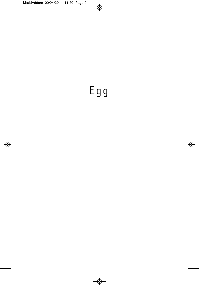# Egg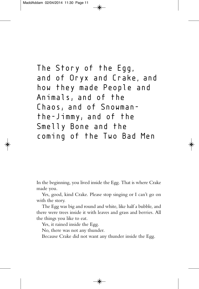The Story of the Egg, and of Oryx and Crake, and how they made People and Animals; and of the Chaos; and of Snowmanthe-Jimmy; and of the Smelly Bone and the coming of the Two Bad Men

In the beginning, you lived inside the Egg. That is where Crake made you.

Yes, good, kind Crake. Please stop singing or I can't go on with the story.

The Egg was big and round and white, like half a bubble, and there were trees inside it with leaves and grass and berries. All the things you like to eat.

Yes, it rained inside the Egg.

No, there was not any thunder.

Because Crake did not want any thunder inside the Egg.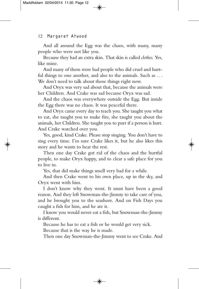And all around the Egg was the chaos, with many, many people who were not like you.

Because they had an extra skin. That skin is called *clothes.* Yes, like mine.

And many of them were bad people who did cruel and hurtful things to one another, and also to the animals. Such as . . . We don't need to talk about those things right now.

And Oryx was very sad about that, because the animals were her Children. And Crake was sad because Oryx was sad.

And the chaos was everywhere outside the Egg. But inside the Egg there was no chaos. It was peaceful there.

And Oryx came every day to teach you. She taught you what to eat, she taught you to make fire, she taught you about the animals, her Children. She taught you to purr if a person is hurt. And Crake watched over you.

Yes, good, kind Crake. Please stop singing. You don't have to sing every time. I'm sure Crake likes it, but he also likes this story and he wants to hear the rest.

Then one day Crake got rid of the chaos and the hurtful people, to make Oryx happy, and to clear a safe place for you to live in.

Yes, that did make things smell very bad for a while.

And then Crake went to his own place, up in the sky, and Oryx went with him.

I don't know why they went. It must have been a good reason. And they left Snowman-the-Jimmy to take care of you, and he brought you to the seashore. And on Fish Days you caught a fish for him, and he ate it.

I know you would never eat a fish, but Snowman-the-Jimmy is different.

Because he has to eat a fish or he would get very sick.

Because that is the way he is made.

Then one day Snowman-the-Jimmy went to see Crake. And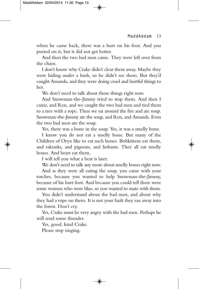when he came back, there was a hurt on his foot. And you purred on it, but it did not get better.

And then the two bad men came. They were left over from the chaos.

I don't know why Crake didn't clear them away. Maybe they were hiding under a bush, so he didn't see them. But they'd caught Amanda, and they were doing cruel and hurtful things to her.

We don't need to talk about those things right now.

And Snowman-the-Jimmy tried to stop them. And then I came, and Ren, and we caught the two bad men and tied them to a tree with a rope. Then we sat around the fire and ate soup. Snowman-the-Jimmy ate the soup, and Ren, and Amanda. Even the two bad men ate the soup.

Yes, there was a bone in the soup. Yes, it was a smelly bone.

I know you do not eat a smelly bone. But many of the Children of Oryx like to eat such bones. Bobkittens eat them, and rakunks, and pigoons, and liobams. They all eat smelly bones. And bears eat them.

I will tell you what a bear is later.

We don't need to talk any more about smelly bones right now.

And as they were all eating the soup, you came with your torches, because you wanted to help Snowman-the-Jimmy, because of his hurt foot. And because you could tell there were some women who were blue, so you wanted to mate with them.

You didn't understand about the bad men, and about why they had a rope on them. It is not your fault they ran away into the forest. Don't cry.

Yes, Crake must be very angry with the bad men. Perhaps he will send some thunder.

Yes, good, kind Crake.

Please stop singing.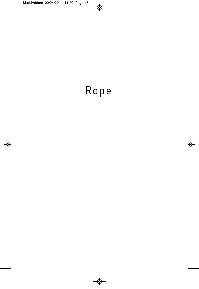## Rope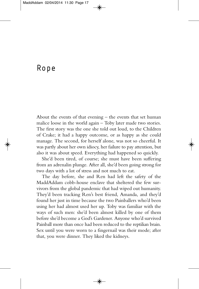### Rope

About the events of that evening – the events that set human malice loose in the world again – Toby later made two stories. The first story was the one she told out loud, to the Children of Crake; it had a happy outcome, or as happy as she could manage. The second, for herself alone, was not so cheerful. It was partly about her own idiocy, her failure to pay attention, but also it was about speed. Everything had happened so quickly.

She'd been tired, of course; she must have been suffering from an adrenalin plunge. After all, she'd been going strong for two days with a lot of stress and not much to eat.

The day before, she and Ren had left the safety of the MaddAddam cobb-house enclave that sheltered the few survivors from the global pandemic that had wiped out humanity. They'd been tracking Ren's best friend, Amanda, and they'd found her just in time because the two Painballers who'd been using her had almost used her up. Toby was familiar with the ways of such men: she'd been almost killed by one of them before she'd become a God's Gardener. Anyone who'd survived Painball more than once had been reduced to the reptilian brain. Sex until you were worn to a fingernail was their mode; after that, you were dinner. They liked the kidneys.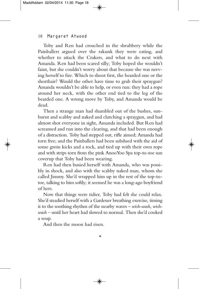Toby and Ren had crouched in the shrubbery while the Painballers argued over the rakunk they were eating, and whether to attack the Crakers, and what to do next with Amanda. Ren had been scared silly; Toby hoped she wouldn't faint, but she couldn't worry about that because she was nerving herself to fire. Which to shoot first, the bearded one or the shorthair? Would the other have time to grab their spraygun? Amanda wouldn't be able to help, or even run: they had a rope around her neck, with the other end tied to the leg of the bearded one. A wrong move by Toby, and Amanda would be dead.

Then a strange man had shambled out of the bushes, sunburnt and scabby and naked and clutching a spraygun, and had almost shot everyone in sight, Amanda included. But Ren had screamed and run into the clearing, and that had been enough of a distraction. Toby had stepped out, rifle aimed; Amanda had torn free; and the Painballers had been subdued with the aid of some groin kicks and a rock, and tied up with their own rope and with strips torn from the pink AnooYoo Spa top-to-toe sun coverup that Toby had been wearing.

Ren had then busied herself with Amanda, who was possibly in shock, and also with the scabby naked man, whom she called Jimmy. She'd wrapped him up in the rest of the top-totoe, talking to him softly; it seemed he was a long-ago boyfriend of hers.

Now that things were tidier, Toby had felt she could relax. She'd steadied herself with a Gardener breathing exercise, timing it to the soothing rhythm of the nearby waves – *wish-wash*, *wishwash* – until her heart had slowed to normal. Then she'd cooked a soup.

And then the moon had risen.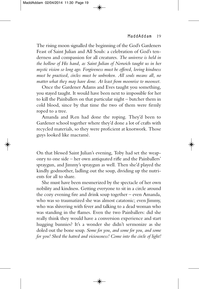The rising moon signalled the beginning of the God's Gardeners Feast of Saint Julian and All Souls: a celebration of God's tenderness and compassion for all creatures. *The universe is held in the hollow of His hand, as Saint Julian of Norwich taught us in her mystic vision so long ago. Forgiveness must be offered, loving kindness must be practised, circles must be unbroken. All souls means all, no matter what they may have done. At least from moonrise to moonset.*

Once the Gardener Adams and Eves taught you something, you stayed taught. It would have been next to impossible for her to kill the Painballers on that particular night – butcher them in cold blood, since by that time the two of them were firmly roped to a tree.

Amanda and Ren had done the roping. They'd been to Gardener school together where they'd done a lot of crafts with recycled materials, so they were proficient at knotwork. Those guys looked like macramé.

On that blessed Saint Julian's evening, Toby had set the weap onry to one side – her own antiquated rifle and the Painballers' spraygun, and Jimmy's spraygun as well. Then she'd played the kindly godmother, ladling out the soup, dividing up the nutrients for all to share.

She must have been mesmerized by the spectacle of her own nobility and kindness. Getting everyone to sit in a circle around the cozy evening fire and drink soup together – even Amanda, who was so traumatized she was almost catatonic; even Jimmy, who was shivering with fever and talking to a dead woman who was standing in the flames. Even the two Painballers: did she really think they would have a conversion experience and start hugging bunnies? It's a wonder she didn't sermonize as she doled out the bone soup. *Some for you, and some for you, and some for you! Shed the hatred and viciousness! Come into the circle of light!*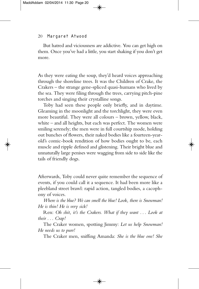#### 20 Margaret Atwood

But hatred and viciousness are addictive. You can get high on them. Once you've had a little, you start shaking if you don't get more.

As they were eating the soup, they'd heard voices approaching through the shoreline trees. It was the Children of Crake, the Crakers – the strange gene-spliced quasi-humans who lived by the sea. They were filing through the trees, carrying pitch-pine torches and singing their crystalline songs.

Toby had seen these people only briefly, and in daytime. Gleaming in the moonlight and the torchlight, they were even more beautiful. They were all colours – brown, yellow, black, white – and all heights, but each was perfect. The women were smiling serenely; the men were in full courtship mode, holding out bunches of flowers, their naked bodies like a fourteen-yearold's comic-book rendition of how bodies ought to be, each muscle and ripple defined and glistening. Their bright blue and unnaturally large penises were wagging from side to side like the tails of friendly dogs.

Afterwards, Toby could never quite remember the sequence of events, if you could call it a sequence. It had been more like a pleebland street brawl: rapid action, tangled bodies, a cacophony of voices.

*Where is the blue? We can smell the blue! Look, there is Snowman! He is thin! He is very sick!*

Ren: *Oh shit, it's the Crakers. What if they want . . . Look at their . . . Crap!*

The Craker women, spotting Jimmy: *Let us help Snowman! He needs us to purr!*

The Craker men, sniffing Amanda: *She is the blue one! She*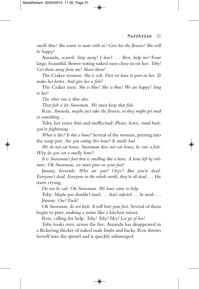*smells blue! She wants to mate with us! Give her the flowers! She will be happy!*

Amanda, scared: *Stay away! I don't . . . Ren, help me!* Four large, beautiful, flower-toting naked men close in on her. *Toby! Get them away from me! Shoot them!*

The Craker women: *She is sick. First we have to purr on her. To make her better. And give her a fish?*

The Craker men: *She is blue! She is blue! We are happy! Sing to her!*

*The other one is blue also.*

*That fish is for Snowman. We must keep that fish.*

Ren: *Amanda, maybe just take the flowers, or they might get mad or something . . .*

Toby, her voice thin and ineffectual: *Please, listen, stand back, you're frightening . . .*

*What is this? Is this a bone?* Several of the women, peering into the soup pot: *Are you eating this bone? It smells bad.*

*We do not eat bones. Snowman does not eat bones, he eats a fish. Why do you eat a smelly bone?*

*It is Snowman's foot that is smelling like a bone. A bone left by vultures. Oh Snowman, we must purr on your foot!*

Jimmy, feverish: *Who are you? Oryx? But you're dead. Everyone's dead. Everyone in the whole world, they're all dead ...* He starts crying.

*Do not be sad, Oh Snowman. We have come to help.*

Toby: *Maybe you shouldn't touch . . . that's infected . . . he needs . . .* Jimmy: *Ow! Fuck!*

*Oh Snowman, do not kick. It will hurt your foot.* Several of them begin to purr, making a noise like a kitchen mixer.

Ren, calling for help: *Toby! Toby! Hey! Let go of her!*

Toby looks over, across the fire: Amanda has disappeared in a flickering thicket of naked male limbs and backs. Ren throws herself into the sprawl and is quickly submerged.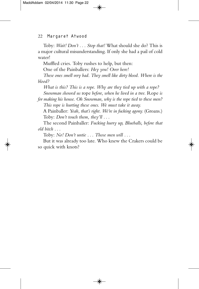Toby: *Wait! Don't . . . Stop that!* What should she do? This is a major cultural misunderstanding. If only she had a pail of cold water!

Muffled cries. Toby rushes to help, but then:

One of the Painballers: *Hey you! Over here!*

*These ones smell very bad. They smell like dirty blood. Where is the blood?*

*What is this? This is a rope. Why are they tied up with a rope?*

*Snowman showed us* rope *before, when he lived in a tree.* Rope *is*

*for making his house. Oh Snowman, why is the rope tied to these men? This rope is hurting these ones. We must take it away.*

A Painballer: *Yeah, that's right. We're in fucking agony.* (Groans.) Toby: *Don't touch them, they'll . . .*

The second Painballer: *Fucking hurry up, Blueballs, before that old bitch . . .*

Toby: *No! Don't untie . . . Those men will . . .*

But it was already too late. Who knew the Crakers could be so quick with knots?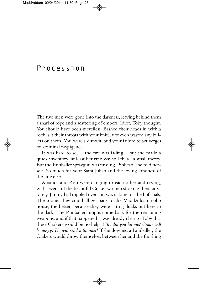#### Procession

The two men were gone into the darkness, leaving behind them a snarl of rope and a scattering of embers. Idiot, Toby thought. You should have been merciless. Bashed their heads in with a rock, slit their throats with your knife, not even wasted any bullets on them. You were a dimwit, and your failure to act verges on criminal negligence.

It was hard to see – the fire was fading – but she made a quick inventory: at least her rifle was still there, a small mercy. But the Painballer spraygun was missing. Pinhead, she told herself. So much for your Saint Julian and the loving kindness of the universe.

Amanda and Ren were clinging to each other and crying, with several of the beautiful Craker women stroking them anxiously. Jimmy had toppled over and was talking to a bed of coals. The sooner they could all get back to the MaddAddam cobb house, the better, because they were sitting ducks out here in the dark. The Painballers might come back for the remaining weapons, and if that happened it was already clear to Toby that these Crakers would be no help. *Why did you hit me? Crake will be angry! He will send a thunder!* If she downed a Painballer, the Crakers would throw themselves between her and the finishing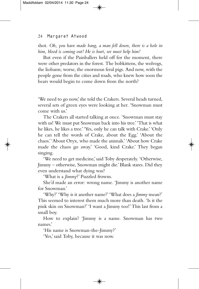shot. *Oh, you have made bang, a man fell down, there is a hole in him, blood is coming out! He is hurt, we must help him!*

But even if the Painballers held off for the moment, there were other predators in the forest. The bobkittens, the wolvogs, the liobams; worse, the enormous feral pigs. And now, with the people gone from the cities and roads, who knew how soon the bears would begin to come down from the north?

'We need to go now,' she told the Crakers. Several heads turned, several sets of green eyes were looking at her. 'Snowman must come with us.'

The Crakers all started talking at once. 'Snowman must stay with us! We must put Snowman back into his tree.' 'That is what he likes, he likes a tree.' 'Yes, only he can talk with Crake.' 'Only he can tell the words of Crake, about the Egg.' 'About the chaos.' 'About Oryx, who made the animals.' 'About how Crake made the chaos go away.' 'Good, kind Crake.' They began singing.

'We need to get medicine,' said Toby desperately. 'Otherwise, Jimmy – otherwise, Snowman might die.' Blank stares. Did they even understand what dying was?

'What is a *Jimmy*?' Puzzled frowns.

She'd made an error: wrong name. 'Jimmy is another name for Snowman.'

'Why?' 'Why is it another name?' 'What does a *Jimmy* mean?' This seemed to interest them much more than death. 'Is it the pink skin on Snowman?' 'I want a Jimmy too!' This last from a small boy.

How to explain? 'Jimmy is a name. Snowman has two names.'

'His name is Snowman-the-Jimmy?'

'Yes,' said Toby, because it was now.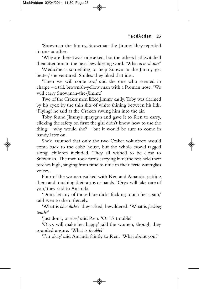'Snowman-the-Jimmy, Snowman-the-Jimmy,' they repeated to one another.

'Why are there two?' one asked, but the others had switched their attention to the next bewildering word. 'What is *medicine*?'

'Medicine is something to help Snowman-the-Jimmy get better,' she ventured. Smiles: they liked that idea.

'Then we will come too,' said the one who seemed in charge – a tall, brownish-yellow man with a Roman nose. 'We will carry Snowman-the-Jimmy.'

Two of the Craker men lifted Jimmy easily. Toby was alarmed by his eyes: by the thin slits of white shining between his lids. 'Flying,' he said as the Crakers swung him into the air.

Toby found Jimmy's spraygun and gave it to Ren to carry, clicking the safety on first: the girl didn't know how to use the thing – why would she? – but it would be sure to come in handy later on.

She'd assumed that only the two Craker volunteers would come back to the cobb house, but the whole crowd tagged along, children included. They all wished to be close to Snowman. The men took turns carrying him; the rest held their torches high, singing from time to time in their eerie waterglass voices.

Four of the women walked with Ren and Amanda, patting them and touching their arms or hands. 'Oryx will take care of you,' they said to Amanda.

'Don't let any of those blue dicks fucking touch her again,' said Ren to them fiercely.

'What is *blue dicks*?' they asked, bewildered. 'What is *fucking touch*?'

'Just don't, or else,' said Ren. 'Or it's trouble!'

'Oryx will make her happy,' said the women, though they sounded unsure. 'What is *trouble*?'

'I'm okay,' said Amanda faintly to Ren. 'What about you?'